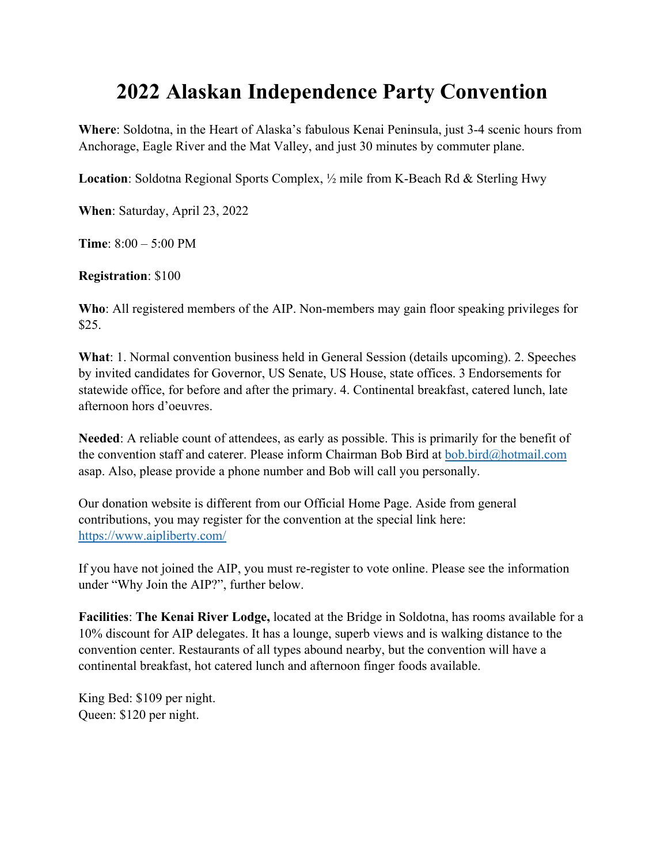## **2022 Alaskan Independence Party Convention**

**Where**: Soldotna, in the Heart of Alaska's fabulous Kenai Peninsula, just 3-4 scenic hours from Anchorage, Eagle River and the Mat Valley, and just 30 minutes by commuter plane.

**Location**: Soldotna Regional Sports Complex, ½ mile from K-Beach Rd & Sterling Hwy

**When**: Saturday, April 23, 2022

**Time**: 8:00 – 5:00 PM

**Registration**: \$100

**Who**: All registered members of the AIP. Non-members may gain floor speaking privileges for \$25.

**What**: 1. Normal convention business held in General Session (details upcoming). 2. Speeches by invited candidates for Governor, US Senate, US House, state offices. 3 Endorsements for statewide office, for before and after the primary. 4. Continental breakfast, catered lunch, late afternoon hors d'oeuvres.

**Needed**: A reliable count of attendees, as early as possible. This is primarily for the benefit of the convention staff and caterer. Please inform Chairman Bob Bird at bob.bird@hotmail.com asap. Also, please provide a phone number and Bob will call you personally.

Our donation website is different from our Official Home Page. Aside from general contributions, you may register for the convention at the special link here: https://www.aipliberty.com/

If you have not joined the AIP, you must re-register to vote online. Please see the information under "Why Join the AIP?", further below.

**Facilities**: **The Kenai River Lodge,** located at the Bridge in Soldotna, has rooms available for a 10% discount for AIP delegates. It has a lounge, superb views and is walking distance to the convention center. Restaurants of all types abound nearby, but the convention will have a continental breakfast, hot catered lunch and afternoon finger foods available.

King Bed: \$109 per night. Queen: \$120 per night.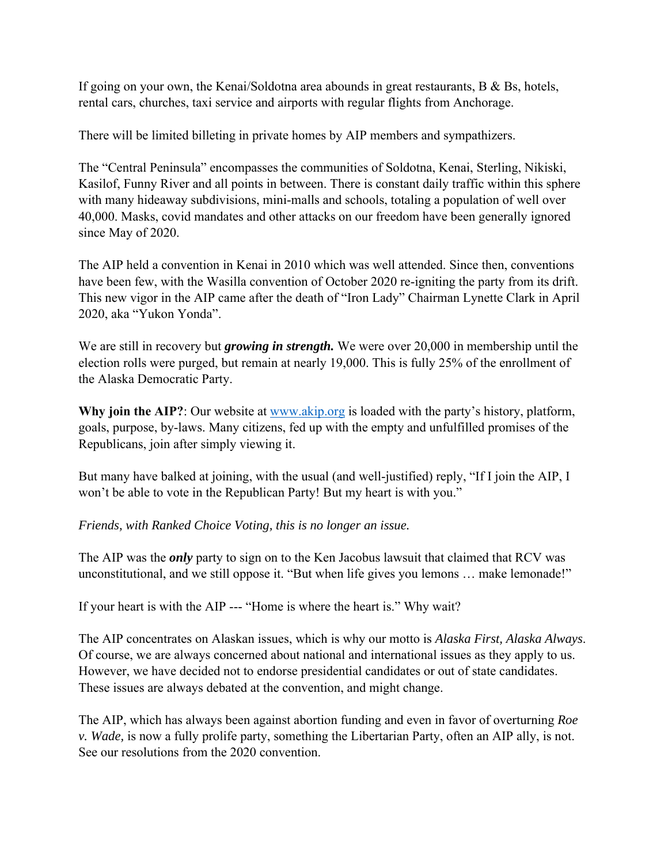If going on your own, the Kenai/Soldotna area abounds in great restaurants, B & Bs, hotels, rental cars, churches, taxi service and airports with regular flights from Anchorage.

There will be limited billeting in private homes by AIP members and sympathizers.

The "Central Peninsula" encompasses the communities of Soldotna, Kenai, Sterling, Nikiski, Kasilof, Funny River and all points in between. There is constant daily traffic within this sphere with many hideaway subdivisions, mini-malls and schools, totaling a population of well over 40,000. Masks, covid mandates and other attacks on our freedom have been generally ignored since May of 2020.

The AIP held a convention in Kenai in 2010 which was well attended. Since then, conventions have been few, with the Wasilla convention of October 2020 re-igniting the party from its drift. This new vigor in the AIP came after the death of "Iron Lady" Chairman Lynette Clark in April 2020, aka "Yukon Yonda".

We are still in recovery but *growing in strength.* We were over 20,000 in membership until the election rolls were purged, but remain at nearly 19,000. This is fully 25% of the enrollment of the Alaska Democratic Party.

Why join the AIP?: Our website at www.akip.org is loaded with the party's history, platform, goals, purpose, by-laws. Many citizens, fed up with the empty and unfulfilled promises of the Republicans, join after simply viewing it.

But many have balked at joining, with the usual (and well-justified) reply, "If I join the AIP, I won't be able to vote in the Republican Party! But my heart is with you."

*Friends, with Ranked Choice Voting, this is no longer an issue.* 

The AIP was the *only* party to sign on to the Ken Jacobus lawsuit that claimed that RCV was unconstitutional, and we still oppose it. "But when life gives you lemons … make lemonade!"

If your heart is with the AIP --- "Home is where the heart is." Why wait?

The AIP concentrates on Alaskan issues, which is why our motto is *Alaska First, Alaska Always*. Of course, we are always concerned about national and international issues as they apply to us. However, we have decided not to endorse presidential candidates or out of state candidates. These issues are always debated at the convention, and might change.

The AIP, which has always been against abortion funding and even in favor of overturning *Roe v. Wade,* is now a fully prolife party, something the Libertarian Party, often an AIP ally, is not. See our resolutions from the 2020 convention.